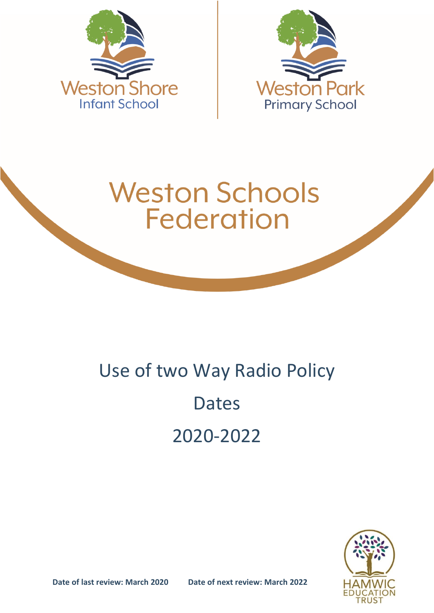



# **Weston Schools Federation**

# Use of two Way Radio Policy Dates 2020-2022



**Date of last review: March 2020 Date of next review: March 2022**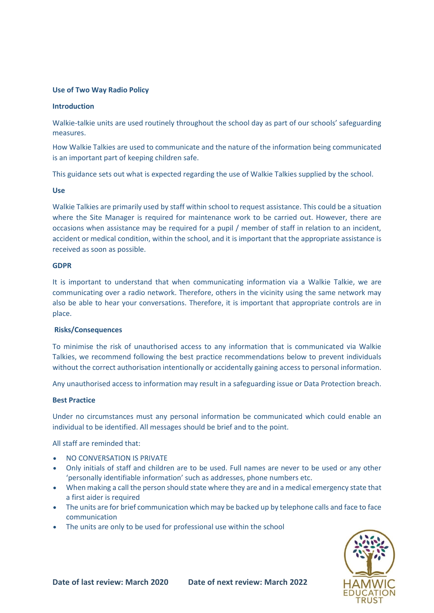## **Use of Two Way Radio Policy**

#### **Introduction**

Walkie-talkie units are used routinely throughout the school day as part of our schools' safeguarding measures.

How Walkie Talkies are used to communicate and the nature of the information being communicated is an important part of keeping children safe.

This guidance sets out what is expected regarding the use of Walkie Talkies supplied by the school.

### **Use**

Walkie Talkies are primarily used by staff within school to request assistance. This could be a situation where the Site Manager is required for maintenance work to be carried out. However, there are occasions when assistance may be required for a pupil / member of staff in relation to an incident, accident or medical condition, within the school, and it is important that the appropriate assistance is received as soon as possible.

#### **GDPR**

It is important to understand that when communicating information via a Walkie Talkie, we are communicating over a radio network. Therefore, others in the vicinity using the same network may also be able to hear your conversations. Therefore, it is important that appropriate controls are in place.

# **Risks/Consequences**

To minimise the risk of unauthorised access to any information that is communicated via Walkie Talkies, we recommend following the best practice recommendations below to prevent individuals without the correct authorisation intentionally or accidentally gaining access to personal information.

Any unauthorised access to information may result in a safeguarding issue or Data Protection breach.

#### **Best Practice**

Under no circumstances must any personal information be communicated which could enable an individual to be identified. All messages should be brief and to the point.

All staff are reminded that:

- NO CONVERSATION IS PRIVATE
- Only initials of staff and children are to be used. Full names are never to be used or any other 'personally identifiable information' such as addresses, phone numbers etc.
- When making a call the person should state where they are and in a medical emergency state that a first aider is required
- The units are for brief communication which may be backed up by telephone calls and face to face communication
- The units are only to be used for professional use within the school

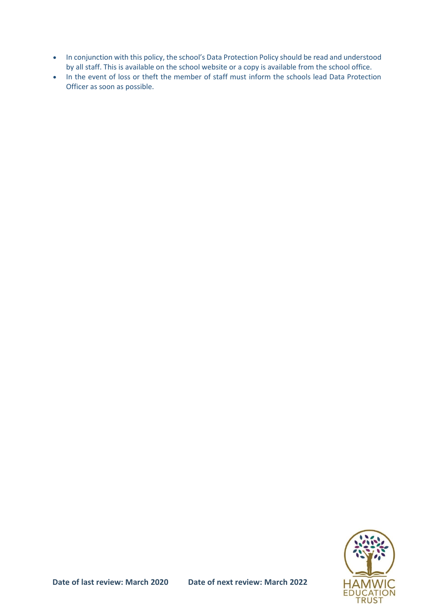- In conjunction with this policy, the school's Data Protection Policy should be read and understood by all staff. This is available on the school website or a copy is available from the school office.
- In the event of loss or theft the member of staff must inform the schools lead Data Protection Officer as soon as possible.